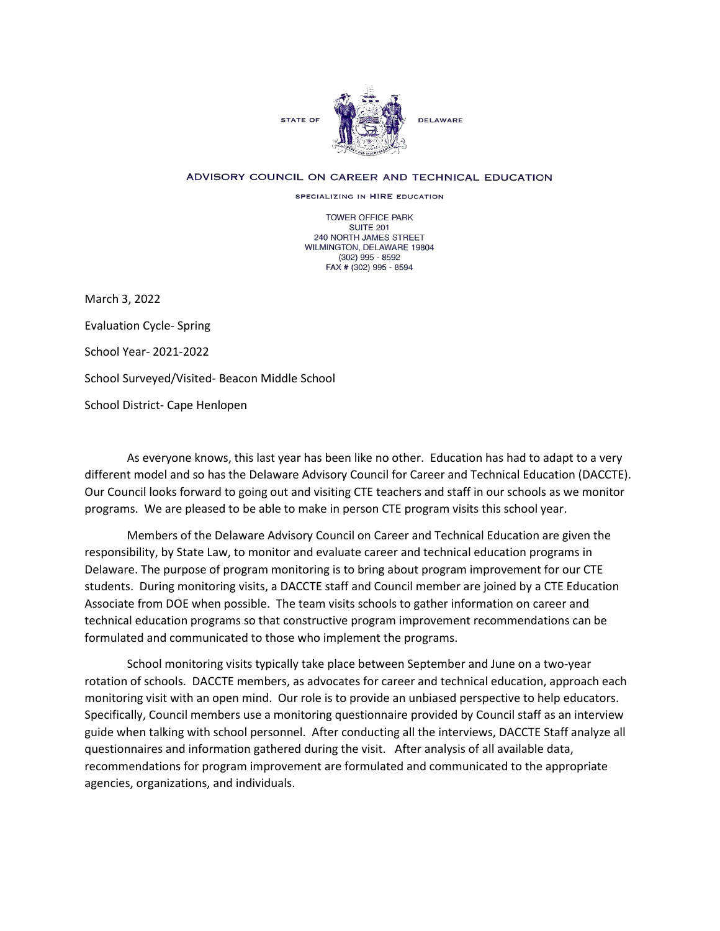

## ADVISORY COUNCIL ON CAREER AND TECHNICAL EDUCATION

SPECIALIZING IN HIRE EDUCATION

TOWER OFFICE PARK SUITE 201 240 NORTH JAMES STREET WILMINGTON, DELAWARE 19804 (302) 995 - 8592 FAX # (302) 995 - 8594

March 3, 2022 Evaluation Cycle- Spring School Year- 2021-2022 School Surveyed/Visited- Beacon Middle School School District- Cape Henlopen

As everyone knows, this last year has been like no other. Education has had to adapt to a very different model and so has the Delaware Advisory Council for Career and Technical Education (DACCTE). Our Council looks forward to going out and visiting CTE teachers and staff in our schools as we monitor programs. We are pleased to be able to make in person CTE program visits this school year.

Members of the Delaware Advisory Council on Career and Technical Education are given the responsibility, by State Law, to monitor and evaluate career and technical education programs in Delaware. The purpose of program monitoring is to bring about program improvement for our CTE students. During monitoring visits, a DACCTE staff and Council member are joined by a CTE Education Associate from DOE when possible. The team visits schools to gather information on career and technical education programs so that constructive program improvement recommendations can be formulated and communicated to those who implement the programs.

School monitoring visits typically take place between September and June on a two-year rotation of schools. DACCTE members, as advocates for career and technical education, approach each monitoring visit with an open mind. Our role is to provide an unbiased perspective to help educators. Specifically, Council members use a monitoring questionnaire provided by Council staff as an interview guide when talking with school personnel. After conducting all the interviews, DACCTE Staff analyze all questionnaires and information gathered during the visit. After analysis of all available data, recommendations for program improvement are formulated and communicated to the appropriate agencies, organizations, and individuals.